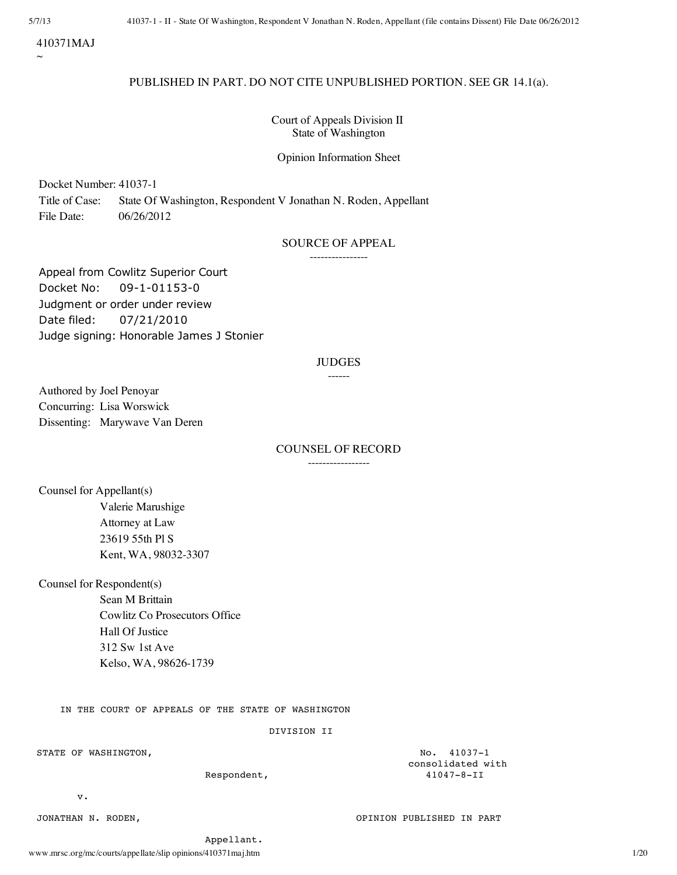410371MAJ

 $\sim$ 

# PUBLISHED IN PART. DO NOT CITE UNPUBLISHED PORTION. SEE GR 14.1(a).

Court of Appeals Division II State of Washington

Opinion Information Sheet

Docket Number: 41037-1

Title of Case: State Of Washington, Respondent V Jonathan N. Roden, Appellant File Date: 06/26/2012

# SOURCE OF APPEAL

----------------

Appeal from Cowlitz Superior Court Docket No: 09-1-01153-0 Judgment or order under review Date filed: 07/21/2010 Judge signing: Honorable James J Stonier

# JUDGES

# ------

Authored by Joel Penoyar Concurring: Lisa Worswick Dissenting: Marywave Van Deren

# COUNSEL OF RECORD -----------------

Counsel for Appellant(s) Valerie Marushige Attorney at Law 23619 55th Pl S Kent, WA, 98032-3307

Counsel for Respondent(s)

Sean M Brittain Cowlitz Co Prosecutors Office Hall Of Justice 312 Sw 1st Ave Kelso, WA, 98626-1739

IN THE COURT OF APPEALS OF THE STATE OF WASHINGTON

### DIVISION II

STATE OF WASHINGTON,  $N = 41037 - 1$ 

Respondent,

consolidated with<br>41047-8-II

v.

JONATHAN N. RODEN, OPINION PUBLISHED IN PART

Appellant.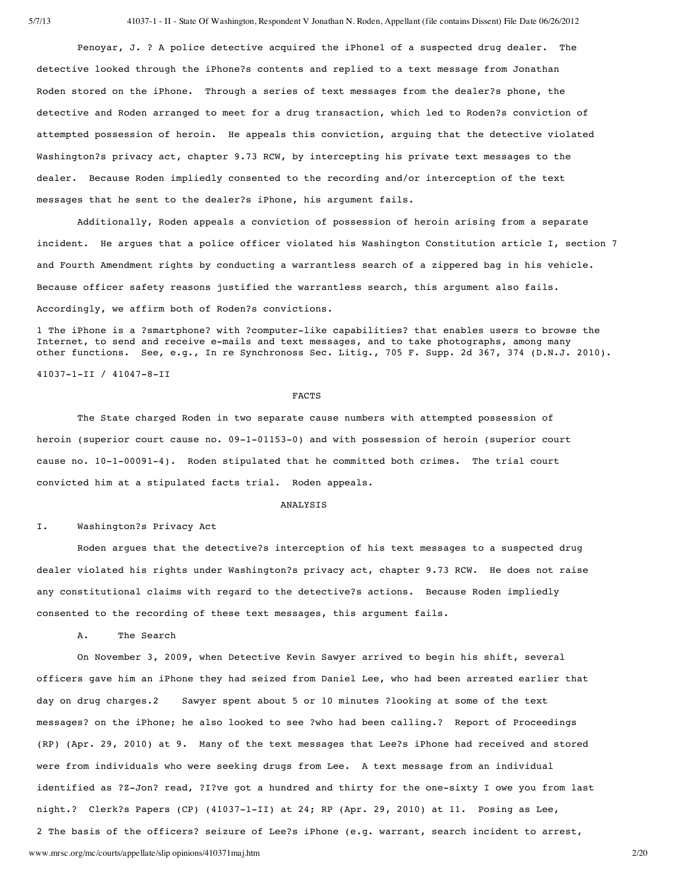Penoyar, J. ? A police detective acquired the iPhone1 of a suspected drug dealer. The detective looked through the iPhone?s contents and replied to a text message from Jonathan Roden stored on the iPhone. Through a series of text messages from the dealer?s phone, the detective and Roden arranged to meet for a drug transaction, which led to Roden?s conviction of attempted possession of heroin. He appeals this conviction, arguing that the detective violated Washington?s privacy act, chapter 9.73 RCW, by intercepting his private text messages to the dealer. Because Roden impliedly consented to the recording and/or interception of the text messages that he sent to the dealer?s iPhone, his argument fails.

Additionally, Roden appeals a conviction of possession of heroin arising from a separate incident. He argues that a police officer violated his Washington Constitution article I, section 7 and Fourth Amendment rights by conducting a warrantless search of a zippered bag in his vehicle. Because officer safety reasons justified the warrantless search, this argument also fails. Accordingly, we affirm both of Roden?s convictions.

1 The iPhone is a ?smartphone? with ?computer-like capabilities? that enables users to browse the Internet, to send and receive e-mails and text messages, and to take photographs, among many other functions. See, e.g., In re Synchronoss Sec. Litig., 705 F. Supp. 2d 367, 374 (D.N.J. 2010).

41037-1-II / 41047-8-II

#### FACTS

The State charged Roden in two separate cause numbers with attempted possession of heroin (superior court cause no. 09-1-01153-0) and with possession of heroin (superior court cause no. 10-1-00091-4). Roden stipulated that he committed both crimes. The trial court convicted him at a stipulated facts trial. Roden appeals.

#### ANALYSIS

### I. Washington?s Privacy Act

Roden argues that the detective?s interception of his text messages to a suspected drug dealer violated his rights under Washington?s privacy act, chapter 9.73 RCW. He does not raise any constitutional claims with regard to the detective?s actions. Because Roden impliedly consented to the recording of these text messages, this argument fails.

A. The Search

www.mrsc.org/mc/courts/appellate/slip opinions/410371maj.htm 2/20 On November 3, 2009, when Detective Kevin Sawyer arrived to begin his shift, several officers gave him an iPhone they had seized from Daniel Lee, who had been arrested earlier that day on drug charges.2 Sawyer spent about 5 or 10 minutes ?looking at some of the text messages? on the iPhone; he also looked to see ?who had been calling.? Report of Proceedings (RP) (Apr. 29, 2010) at 9. Many of the text messages that Lee?s iPhone had received and stored were from individuals who were seeking drugs from Lee. A text message from an individual identified as ?Z-Jon? read, ?I?ve got a hundred and thirty for the one-sixty I owe you from last night.? Clerk?s Papers (CP) (41037-1-II) at 24; RP (Apr. 29, 2010) at 11. Posing as Lee, 2 The basis of the officers? seizure of Lee?s iPhone (e.g. warrant, search incident to arrest,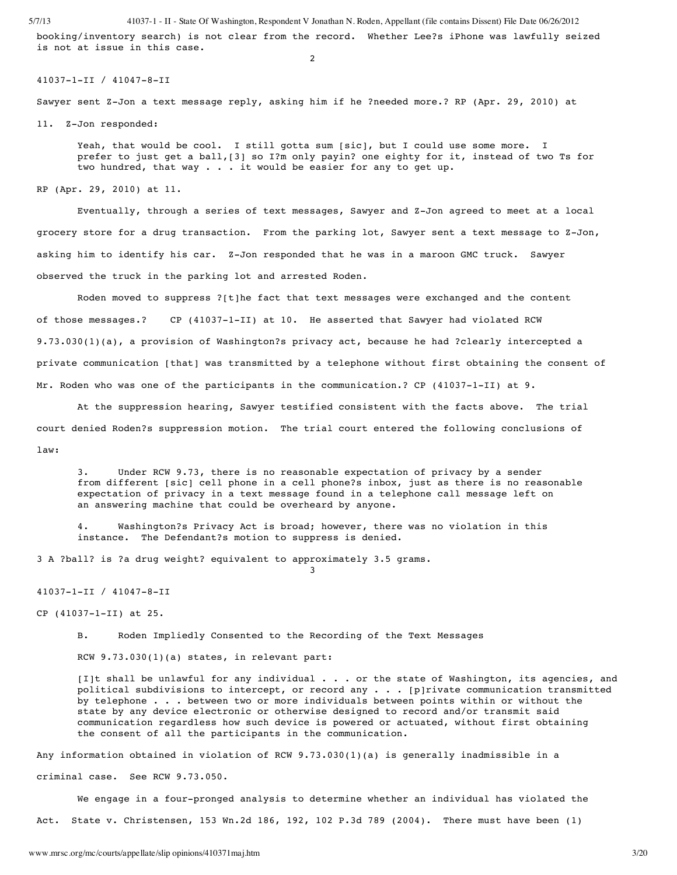booking/inventory search) is not clear from the record. Whether Lee?s iPhone was lawfully seized is not at issue in this case.

2

#### 41037-1-II / 41047-8-II

Sawyer sent Z-Jon a text message reply, asking him if he ?needed more.? RP (Apr. 29, 2010) at

11. Z-Jon responded:

Yeah, that would be cool. I still gotta sum [sic], but I could use some more. I prefer to just get a ball,[3] so I?m only payin? one eighty for it, instead of two Ts for two hundred, that way . . . it would be easier for any to get up.

RP (Apr. 29, 2010) at 11.

Eventually, through a series of text messages, Sawyer and Z-Jon agreed to meet at a local grocery store for a drug transaction. From the parking lot, Sawyer sent a text message to Z-Jon, asking him to identify his car. Z-Jon responded that he was in a maroon GMC truck. Sawyer observed the truck in the parking lot and arrested Roden.

Roden moved to suppress ?[t]he fact that text messages were exchanged and the content of those messages.? CP (41037-1-II) at 10. He asserted that Sawyer had violated RCW 9.73.030(1)(a), a provision of Washington?s privacy act, because he had ?clearly intercepted a private communication [that] was transmitted by a telephone without first obtaining the consent of Mr. Roden who was one of the participants in the communication.? CP (41037-1-II) at 9.

At the suppression hearing, Sawyer testified consistent with the facts above. The trial court denied Roden?s suppression motion. The trial court entered the following conclusions of law:

3. Under RCW 9.73, there is no reasonable expectation of privacy by a sender from different [sic] cell phone in a cell phone?s inbox, just as there is no reasonable expectation of privacy in a text message found in a telephone call message left on an answering machine that could be overheard by anyone.

4. Washington?s Privacy Act is broad; however, there was no violation in this instance. The Defendant?s motion to suppress is denied.

3

3 A ?ball? is ?a drug weight? equivalent to approximately 3.5 grams.

41037-1-II / 41047-8-II

CP (41037-1-II) at 25.

B. Roden Impliedly Consented to the Recording of the Text Messages

RCW 9.73.030(1)(a) states, in relevant part:

[I]t shall be unlawful for any individual . . . or the state of Washington, its agencies, and political subdivisions to intercept, or record any . . . [p]rivate communication transmitted by telephone . . . between two or more individuals between points within or without the state by any device electronic or otherwise designed to record and/or transmit said communication regardless how such device is powered or actuated, without first obtaining the consent of all the participants in the communication.

Any information obtained in violation of RCW 9.73.030(1)(a) is generally inadmissible in a criminal case. See RCW 9.73.050.

We engage in a four-pronged analysis to determine whether an individual has violated the

Act. State v. Christensen, 153 Wn.2d 186, 192, 102 P.3d 789 (2004). There must have been (1)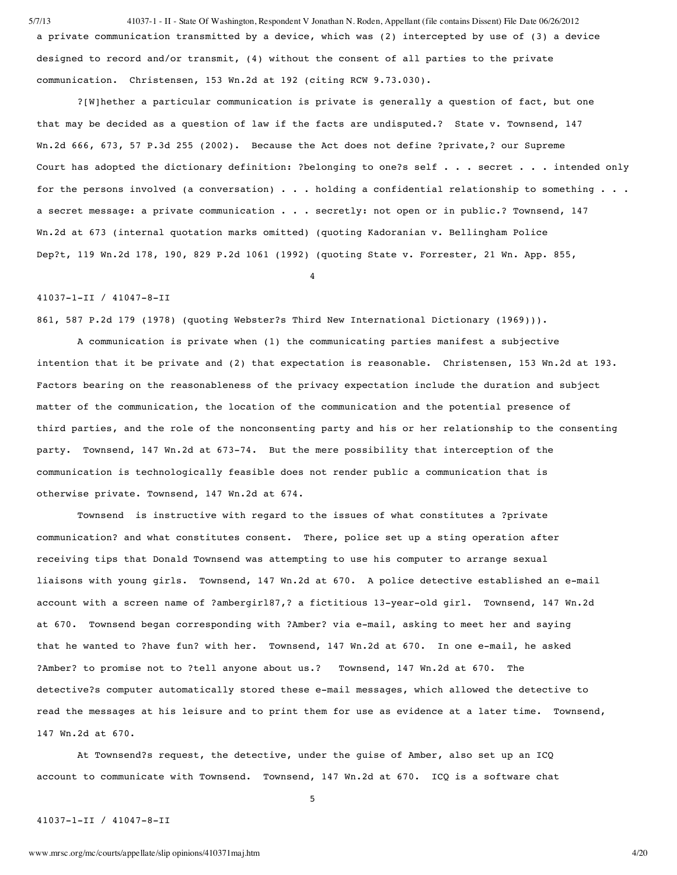5/7/13 41037-1 - II - State Of Washington, Respondent V Jonathan N. Roden, Appellant (file contains Dissent) File Date 06/26/2012 a private communication transmitted by a device, which was (2) intercepted by use of (3) a device designed to record and/or transmit, (4) without the consent of all parties to the private communication. Christensen, 153 Wn.2d at 192 (citing RCW 9.73.030).

?[W]hether a particular communication is private is generally a question of fact, but one that may be decided as a question of law if the facts are undisputed.? State v. Townsend, 147 Wn.2d 666, 673, 57 P.3d 255 (2002). Because the Act does not define ?private,? our Supreme Court has adopted the dictionary definition: ?belonging to one?s self . . . secret . . . intended only for the persons involved (a conversation) . . . holding a confidential relationship to something . . . a secret message: a private communication . . . secretly: not open or in public.? Townsend, 147 Wn.2d at 673 (internal quotation marks omitted) (quoting Kadoranian v. Bellingham Police Dep?t, 119 Wn.2d 178, 190, 829 P.2d 1061 (1992) (quoting State v. Forrester, 21 Wn. App. 855,

4

### 41037-1-II / 41047-8-II

861, 587 P.2d 179 (1978) (quoting Webster?s Third New International Dictionary (1969))).

A communication is private when (1) the communicating parties manifest a subjective intention that it be private and (2) that expectation is reasonable. Christensen, 153 Wn.2d at 193. Factors bearing on the reasonableness of the privacy expectation include the duration and subject matter of the communication, the location of the communication and the potential presence of third parties, and the role of the nonconsenting party and his or her relationship to the consenting party. Townsend, 147 Wn.2d at 673-74. But the mere possibility that interception of the communication is technologically feasible does not render public a communication that is otherwise private. Townsend, 147 Wn.2d at 674.

Townsend is instructive with regard to the issues of what constitutes a ?private communication? and what constitutes consent. There, police set up a sting operation after receiving tips that Donald Townsend was attempting to use his computer to arrange sexual liaisons with young girls. Townsend, 147 Wn.2d at 670. A police detective established an e-mail account with a screen name of ?ambergirl87,? a fictitious 13-year-old girl. Townsend, 147 Wn.2d at 670. Townsend began corresponding with ?Amber? via e-mail, asking to meet her and saying that he wanted to ?have fun? with her. Townsend, 147 Wn.2d at 670. In one e-mail, he asked ?Amber? to promise not to ?tell anyone about us.? Townsend, 147 Wn.2d at 670. The detective?s computer automatically stored these e-mail messages, which allowed the detective to read the messages at his leisure and to print them for use as evidence at a later time. Townsend, 147 Wn.2d at 670.

At Townsend?s request, the detective, under the guise of Amber, also set up an ICQ account to communicate with Townsend. Townsend, 147 Wn.2d at 670. ICQ is a software chat

5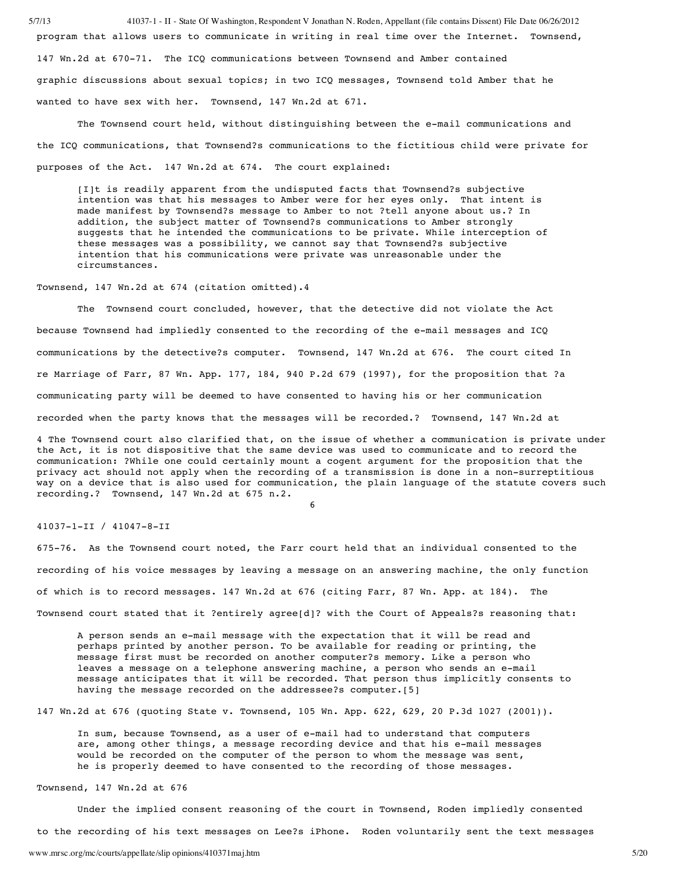5/7/13 41037-1 - II - State Of Washington, Respondent V Jonathan N. Roden, Appellant (file contains Dissent) File Date 06/26/2012 program that allows users to communicate in writing in real time over the Internet. Townsend, 147 Wn.2d at 670-71. The ICQ communications between Townsend and Amber contained graphic discussions about sexual topics; in two ICQ messages, Townsend told Amber that he wanted to have sex with her. Townsend, 147 Wn.2d at 671.

The Townsend court held, without distinguishing between the e-mail communications and the ICQ communications, that Townsend?s communications to the fictitious child were private for purposes of the Act. 147 Wn.2d at 674. The court explained:

[I]t is readily apparent from the undisputed facts that Townsend?s subjective intention was that his messages to Amber were for her eyes only. That intent is made manifest by Townsend?s message to Amber to not ?tell anyone about us.? In addition, the subject matter of Townsend?s communications to Amber strongly suggests that he intended the communications to be private. While interception of these messages was a possibility, we cannot say that Townsend?s subjective intention that his communications were private was unreasonable under the circumstances.

Townsend, 147 Wn.2d at 674 (citation omitted).4

The Townsend court concluded, however, that the detective did not violate the Act because Townsend had impliedly consented to the recording of the e-mail messages and ICQ communications by the detective?s computer. Townsend, 147 Wn.2d at 676. The court cited In re Marriage of Farr, 87 Wn. App. 177, 184, 940 P.2d 679 (1997), for the proposition that ?a communicating party will be deemed to have consented to having his or her communication recorded when the party knows that the messages will be recorded.? Townsend, 147 Wn.2d at

4 The Townsend court also clarified that, on the issue of whether a communication is private under the Act, it is not dispositive that the same device was used to communicate and to record the communication: ?While one could certainly mount a cogent argument for the proposition that the privacy act should not apply when the recording of a transmission is done in a non-surreptitious way on a device that is also used for communication, the plain language of the statute covers such recording.? Townsend, 147 Wn.2d at 675 n.2. 6

41037-1-II / 41047-8-II

675-76. As the Townsend court noted, the Farr court held that an individual consented to the recording of his voice messages by leaving a message on an answering machine, the only function of which is to record messages. 147 Wn.2d at 676 (citing Farr, 87 Wn. App. at 184). The Townsend court stated that it ?entirely agree[d]? with the Court of Appeals?s reasoning that:

A person sends an e-mail message with the expectation that it will be read and perhaps printed by another person. To be available for reading or printing, the message first must be recorded on another computer?s memory. Like a person who leaves a message on a telephone answering machine, a person who sends an e-mail message anticipates that it will be recorded. That person thus implicitly consents to having the message recorded on the addressee?s computer.[5]

147 Wn.2d at 676 (quoting State v. Townsend, 105 Wn. App. 622, 629, 20 P.3d 1027 (2001)).

In sum, because Townsend, as a user of e-mail had to understand that computers are, among other things, a message recording device and that his e-mail messages would be recorded on the computer of the person to whom the message was sent, he is properly deemed to have consented to the recording of those messages.

#### Townsend, 147 Wn.2d at 676

Under the implied consent reasoning of the court in Townsend, Roden impliedly consented to the recording of his text messages on Lee?s iPhone. Roden voluntarily sent the text messages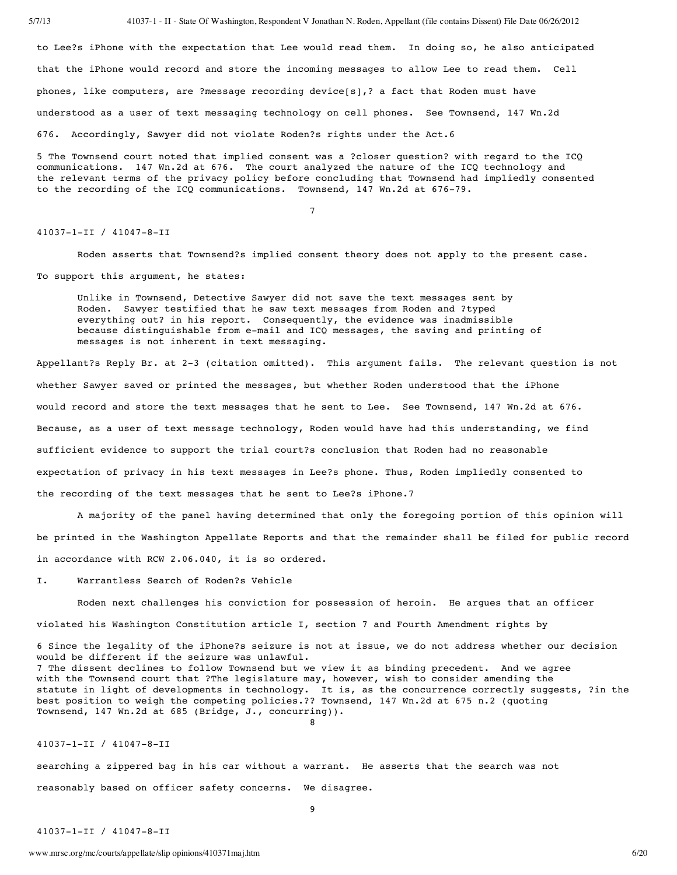to Lee?s iPhone with the expectation that Lee would read them. In doing so, he also anticipated that the iPhone would record and store the incoming messages to allow Lee to read them. Cell phones, like computers, are ?message recording device[s],? a fact that Roden must have understood as a user of text messaging technology on cell phones. See Townsend, 147 Wn.2d 676. Accordingly, Sawyer did not violate Roden?s rights under the Act.6

5 The Townsend court noted that implied consent was a ?closer question? with regard to the ICQ communications. 147 Wn.2d at 676. The court analyzed the nature of the ICQ technology and the relevant terms of the privacy policy before concluding that Townsend had impliedly consented to the recording of the ICQ communications. Townsend, 147 Wn.2d at 676-79.

7

#### 41037-1-II / 41047-8-II

Roden asserts that Townsend?s implied consent theory does not apply to the present case. To support this argument, he states:

Unlike in Townsend, Detective Sawyer did not save the text messages sent by Roden. Sawyer testified that he saw text messages from Roden and ?typed everything out? in his report. Consequently, the evidence was inadmissible because distinguishable from e-mail and ICQ messages, the saving and printing of messages is not inherent in text messaging.

Appellant?s Reply Br. at 2-3 (citation omitted). This argument fails. The relevant question is not whether Sawyer saved or printed the messages, but whether Roden understood that the iPhone would record and store the text messages that he sent to Lee. See Townsend, 147 Wn.2d at 676. Because, as a user of text message technology, Roden would have had this understanding, we find sufficient evidence to support the trial court?s conclusion that Roden had no reasonable expectation of privacy in his text messages in Lee?s phone. Thus, Roden impliedly consented to the recording of the text messages that he sent to Lee?s iPhone.7

A majority of the panel having determined that only the foregoing portion of this opinion will be printed in the Washington Appellate Reports and that the remainder shall be filed for public record in accordance with RCW 2.06.040, it is so ordered.

I. Warrantless Search of Roden?s Vehicle

Roden next challenges his conviction for possession of heroin. He argues that an officer violated his Washington Constitution article I, section 7 and Fourth Amendment rights by

6 Since the legality of the iPhone?s seizure is not at issue, we do not address whether our decision would be different if the seizure was unlawful. 7 The dissent declines to follow Townsend but we view it as binding precedent. And we agree with the Townsend court that ?The legislature may, however, wish to consider amending the statute in light of developments in technology. It is, as the concurrence correctly suggests, ?in the best position to weigh the competing policies.?? Townsend, 147 Wn.2d at 675 n.2 (quoting Townsend, 147 Wn.2d at 685 (Bridge, J., concurring)). 8

#### 41037-1-II / 41047-8-II

searching a zippered bag in his car without a warrant. He asserts that the search was not reasonably based on officer safety concerns. We disagree.

9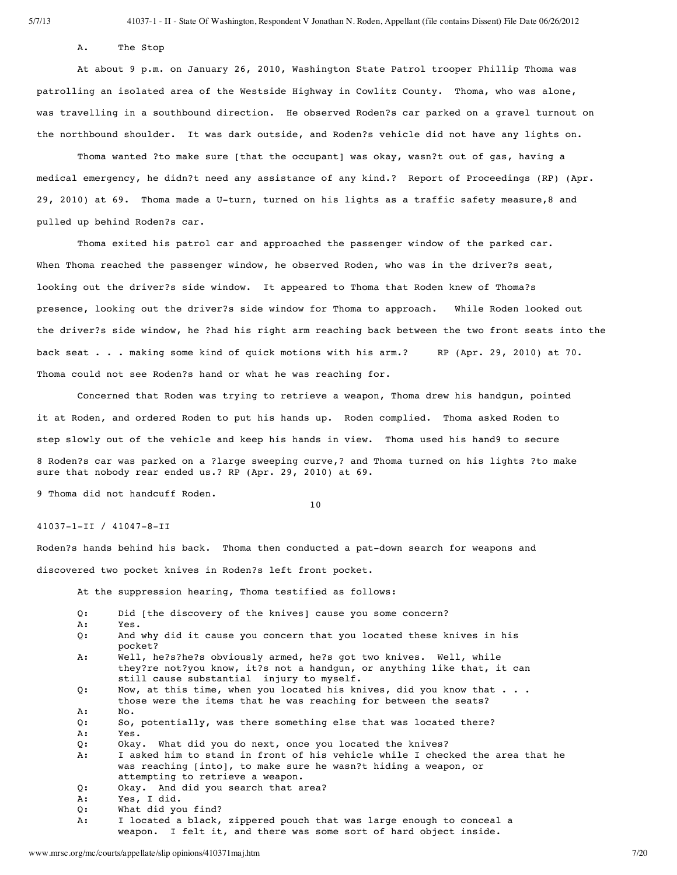A. The Stop

At about 9 p.m. on January 26, 2010, Washington State Patrol trooper Phillip Thoma was patrolling an isolated area of the Westside Highway in Cowlitz County. Thoma, who was alone, was travelling in a southbound direction. He observed Roden?s car parked on a gravel turnout on the northbound shoulder. It was dark outside, and Roden?s vehicle did not have any lights on.

Thoma wanted ?to make sure [that the occupant] was okay, wasn?t out of gas, having a medical emergency, he didn?t need any assistance of any kind.? Report of Proceedings (RP) (Apr. 29, 2010) at 69. Thoma made a U-turn, turned on his lights as a traffic safety measure,8 and pulled up behind Roden?s car.

Thoma exited his patrol car and approached the passenger window of the parked car. When Thoma reached the passenger window, he observed Roden, who was in the driver?s seat, looking out the driver?s side window. It appeared to Thoma that Roden knew of Thoma?s presence, looking out the driver?s side window for Thoma to approach. While Roden looked out the driver?s side window, he ?had his right arm reaching back between the two front seats into the back seat . . . making some kind of quick motions with his arm.? RP (Apr. 29, 2010) at 70. Thoma could not see Roden?s hand or what he was reaching for.

Concerned that Roden was trying to retrieve a weapon, Thoma drew his handgun, pointed it at Roden, and ordered Roden to put his hands up. Roden complied. Thoma asked Roden to step slowly out of the vehicle and keep his hands in view. Thoma used his hand9 to secure 8 Roden?s car was parked on a ?large sweeping curve,? and Thoma turned on his lights ?to make sure that nobody rear ended us.? RP (Apr. 29, 2010) at 69.

9 Thoma did not handcuff Roden.

10

# 41037-1-II / 41047-8-II

Roden?s hands behind his back. Thoma then conducted a pat-down search for weapons and discovered two pocket knives in Roden?s left front pocket.

At the suppression hearing, Thoma testified as follows:

| 0: | Did [the discovery of the knives] cause you some concern?                                                                                                                                 |
|----|-------------------------------------------------------------------------------------------------------------------------------------------------------------------------------------------|
| А: | Yes.                                                                                                                                                                                      |
| 0: | And why did it cause you concern that you located these knives in his<br>pocket?                                                                                                          |
| А: | Well, he?s?he?s obviously armed, he?s got two knives. Well, while<br>they?re not?you know, it?s not a handgun, or anything like that, it can<br>still cause substantial injury to myself. |
| 0: | Now, at this time, when you located his knives, did you know that<br>those were the items that he was reaching for between the seats?                                                     |
| A: | No.                                                                                                                                                                                       |
| Q: | So, potentially, was there something else that was located there?                                                                                                                         |
| А: | Yes.                                                                                                                                                                                      |
| Q: | Okay. What did you do next, once you located the knives?                                                                                                                                  |
| А: | I asked him to stand in front of his vehicle while I checked the area that he<br>was reaching [into], to make sure he wasn?t hiding a weapon, or<br>attempting to retrieve a weapon.      |
| 0: | Okay. And did you search that area?                                                                                                                                                       |
| А: | Yes, I did.                                                                                                                                                                               |
| 0: | What did you find?                                                                                                                                                                        |

A: I located a black, zippered pouch that was large enough to conceal a weapon. I felt it, and there was some sort of hard object inside.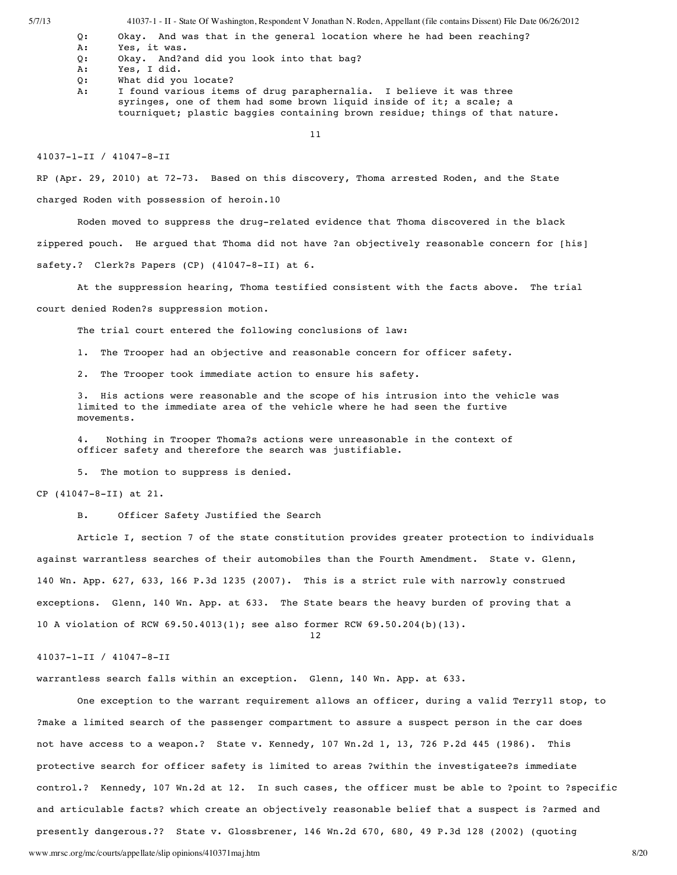5/7/13 41037-1 - II - State Of Washington, Respondent V Jonathan N. Roden, Appellant (file contains Dissent) File Date 06/26/2012

- Q: Okay. And was that in the general location where he had been reaching?
- A: Yes, it was.
- Q: Okay. And?and did you look into that bag?
- A: Yes, I did.
- Q: What did you locate?
- A: I found various items of drug paraphernalia. I believe it was three syringes, one of them had some brown liquid inside of it; a scale; a tourniquet; plastic baggies containing brown residue; things of that nature.
	- 11

41037-1-II / 41047-8-II

RP (Apr. 29, 2010) at 72-73. Based on this discovery, Thoma arrested Roden, and the State charged Roden with possession of heroin.10

Roden moved to suppress the drug-related evidence that Thoma discovered in the black zippered pouch. He argued that Thoma did not have ?an objectively reasonable concern for [his] safety.? Clerk?s Papers (CP) (41047-8-II) at 6.

At the suppression hearing, Thoma testified consistent with the facts above. The trial

court denied Roden?s suppression motion.

The trial court entered the following conclusions of law:

1. The Trooper had an objective and reasonable concern for officer safety.

2. The Trooper took immediate action to ensure his safety.

3. His actions were reasonable and the scope of his intrusion into the vehicle was limited to the immediate area of the vehicle where he had seen the furtive movements.

4. Nothing in Trooper Thoma?s actions were unreasonable in the context of officer safety and therefore the search was justifiable.

5. The motion to suppress is denied.

CP (41047-8-II) at 21.

B. Officer Safety Justified the Search

Article I, section 7 of the state constitution provides greater protection to individuals against warrantless searches of their automobiles than the Fourth Amendment. State v. Glenn, 140 Wn. App. 627, 633, 166 P.3d 1235 (2007). This is a strict rule with narrowly construed exceptions. Glenn, 140 Wn. App. at 633. The State bears the heavy burden of proving that a 10 A violation of RCW 69.50.4013(1); see also former RCW 69.50.204(b)(13).

12

### 41037-1-II / 41047-8-II

warrantless search falls within an exception. Glenn, 140 Wn. App. at 633.

www.mrsc.org/mc/courts/appellate/slip opinions/410371maj.htm 8/20 One exception to the warrant requirement allows an officer, during a valid Terry11 stop, to ?make a limited search of the passenger compartment to assure a suspect person in the car does not have access to a weapon.? State v. Kennedy, 107 Wn.2d 1, 13, 726 P.2d 445 (1986). This protective search for officer safety is limited to areas ?within the investigatee?s immediate control.? Kennedy, 107 Wn.2d at 12. In such cases, the officer must be able to ?point to ?specific and articulable facts? which create an objectively reasonable belief that a suspect is ?armed and presently dangerous.?? State v. Glossbrener, 146 Wn.2d 670, 680, 49 P.3d 128 (2002) (quoting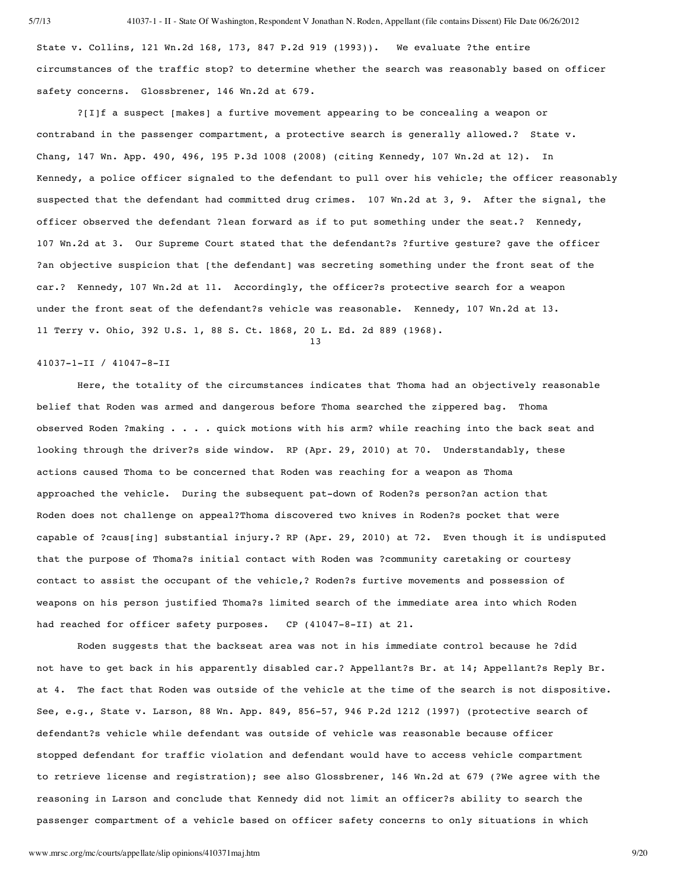State v. Collins, 121 Wn.2d 168, 173, 847 P.2d 919 (1993)). We evaluate ?the entire circumstances of the traffic stop? to determine whether the search was reasonably based on officer safety concerns. Glossbrener, 146 Wn.2d at 679.

?[I]f a suspect [makes] a furtive movement appearing to be concealing a weapon or contraband in the passenger compartment, a protective search is generally allowed.? State v. Chang, 147 Wn. App. 490, 496, 195 P.3d 1008 (2008) (citing Kennedy, 107 Wn.2d at 12). In Kennedy, a police officer signaled to the defendant to pull over his vehicle; the officer reasonably suspected that the defendant had committed drug crimes. 107 Wn.2d at 3, 9. After the signal, the officer observed the defendant ?lean forward as if to put something under the seat.? Kennedy, 107 Wn.2d at 3. Our Supreme Court stated that the defendant?s ?furtive gesture? gave the officer ?an objective suspicion that [the defendant] was secreting something under the front seat of the car.? Kennedy, 107 Wn.2d at 11. Accordingly, the officer?s protective search for a weapon under the front seat of the defendant?s vehicle was reasonable. Kennedy, 107 Wn.2d at 13. 11 Terry v. Ohio, 392 U.S. 1, 88 S. Ct. 1868, 20 L. Ed. 2d 889 (1968).

13

### 41037-1-II / 41047-8-II

Here, the totality of the circumstances indicates that Thoma had an objectively reasonable belief that Roden was armed and dangerous before Thoma searched the zippered bag. Thoma observed Roden ?making . . . . quick motions with his arm? while reaching into the back seat and looking through the driver?s side window. RP (Apr. 29, 2010) at 70. Understandably, these actions caused Thoma to be concerned that Roden was reaching for a weapon as Thoma approached the vehicle. During the subsequent pat-down of Roden?s person?an action that Roden does not challenge on appeal?Thoma discovered two knives in Roden?s pocket that were capable of ?caus[ing] substantial injury.? RP (Apr. 29, 2010) at 72. Even though it is undisputed that the purpose of Thoma?s initial contact with Roden was ?community caretaking or courtesy contact to assist the occupant of the vehicle,? Roden?s furtive movements and possession of weapons on his person justified Thoma?s limited search of the immediate area into which Roden had reached for officer safety purposes. CP (41047-8-II) at 21.

Roden suggests that the backseat area was not in his immediate control because he ?did not have to get back in his apparently disabled car.? Appellant?s Br. at 14; Appellant?s Reply Br. at 4. The fact that Roden was outside of the vehicle at the time of the search is not dispositive. See, e.g., State v. Larson, 88 Wn. App. 849, 856-57, 946 P.2d 1212 (1997) (protective search of defendant?s vehicle while defendant was outside of vehicle was reasonable because officer stopped defendant for traffic violation and defendant would have to access vehicle compartment to retrieve license and registration); see also Glossbrener, 146 Wn.2d at 679 (?We agree with the reasoning in Larson and conclude that Kennedy did not limit an officer?s ability to search the passenger compartment of a vehicle based on officer safety concerns to only situations in which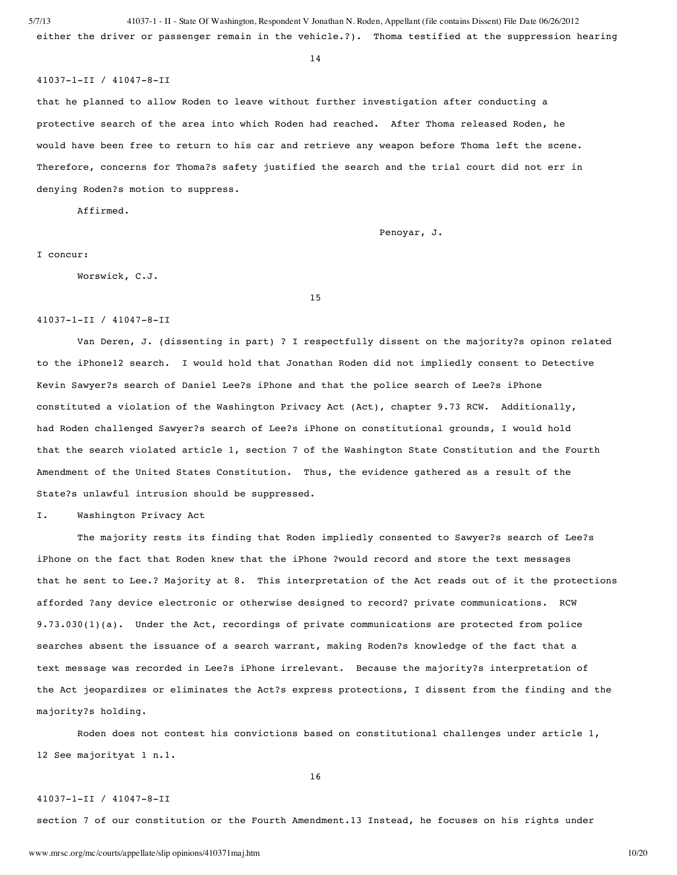5/7/13 41037-1 - II - State Of Washington, Respondent V Jonathan N. Roden, Appellant (file contains Dissent) File Date 06/26/2012 either the driver or passenger remain in the vehicle.?). Thoma testified at the suppression hearing

14

#### 41037-1-II / 41047-8-II

that he planned to allow Roden to leave without further investigation after conducting a protective search of the area into which Roden had reached. After Thoma released Roden, he would have been free to return to his car and retrieve any weapon before Thoma left the scene. Therefore, concerns for Thoma?s safety justified the search and the trial court did not err in denying Roden?s motion to suppress.

Affirmed.

Penoyar, J.

I concur:

Worswick, C.J.

15

#### 41037-1-II / 41047-8-II

Van Deren, J. (dissenting in part) ? I respectfully dissent on the majority?s opinon related to the iPhone12 search. I would hold that Jonathan Roden did not impliedly consent to Detective Kevin Sawyer?s search of Daniel Lee?s iPhone and that the police search of Lee?s iPhone constituted a violation of the Washington Privacy Act (Act), chapter 9.73 RCW. Additionally, had Roden challenged Sawyer?s search of Lee?s iPhone on constitutional grounds, I would hold that the search violated article 1, section 7 of the Washington State Constitution and the Fourth Amendment of the United States Constitution. Thus, the evidence gathered as a result of the State?s unlawful intrusion should be suppressed.

I. Washington Privacy Act

The majority rests its finding that Roden impliedly consented to Sawyer?s search of Lee?s iPhone on the fact that Roden knew that the iPhone ?would record and store the text messages that he sent to Lee.? Majority at 8. This interpretation of the Act reads out of it the protections afforded ?any device electronic or otherwise designed to record? private communications. RCW 9.73.030(1)(a). Under the Act, recordings of private communications are protected from police searches absent the issuance of a search warrant, making Roden?s knowledge of the fact that a text message was recorded in Lee?s iPhone irrelevant. Because the majority?s interpretation of the Act jeopardizes or eliminates the Act?s express protections, I dissent from the finding and the majority?s holding.

Roden does not contest his convictions based on constitutional challenges under article 1, 12 See majorityat 1 n.1.

16

# 41037-1-II / 41047-8-II

section 7 of our constitution or the Fourth Amendment.13 Instead, he focuses on his rights under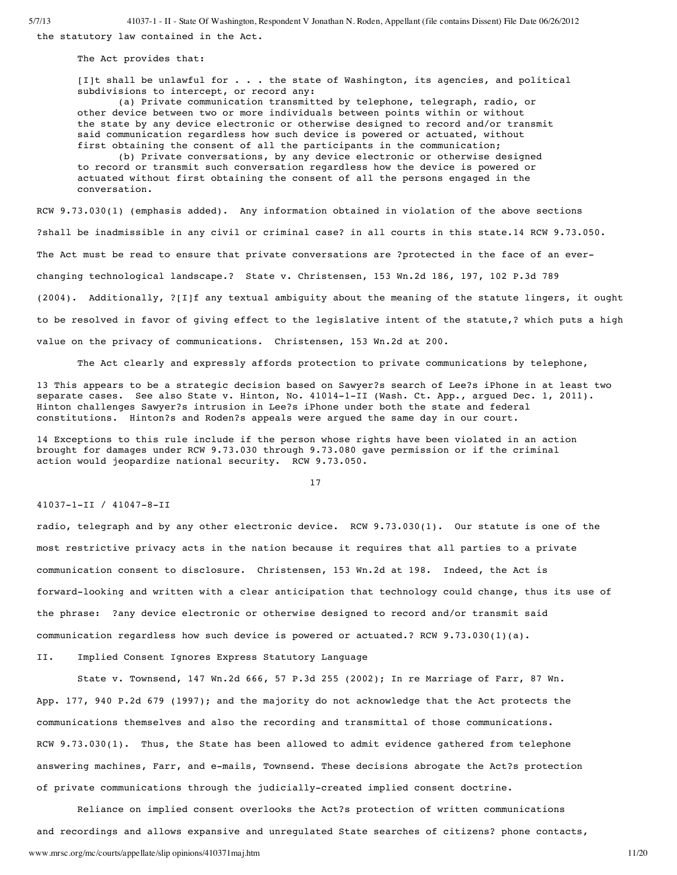5/7/13 41037-1 - II - State Of Washington, Respondent V Jonathan N. Roden, Appellant (file contains Dissent) File Date 06/26/2012

the statutory law contained in the Act.

The Act provides that:

[I]t shall be unlawful for . . . the state of Washington, its agencies, and political subdivisions to intercept, or record any:

(a) Private communication transmitted by telephone, telegraph, radio, or other device between two or more individuals between points within or without the state by any device electronic or otherwise designed to record and/or transmit said communication regardless how such device is powered or actuated, without first obtaining the consent of all the participants in the communication;

(b) Private conversations, by any device electronic or otherwise designed to record or transmit such conversation regardless how the device is powered or actuated without first obtaining the consent of all the persons engaged in the conversation.

RCW 9.73.030(1) (emphasis added). Any information obtained in violation of the above sections ?shall be inadmissible in any civil or criminal case? in all courts in this state.14 RCW 9.73.050. The Act must be read to ensure that private conversations are ?protected in the face of an everchanging technological landscape.? State v. Christensen, 153 Wn.2d 186, 197, 102 P.3d 789 (2004). Additionally, ?[I]f any textual ambiguity about the meaning of the statute lingers, it ought to be resolved in favor of giving effect to the legislative intent of the statute,? which puts a high value on the privacy of communications. Christensen, 153 Wn.2d at 200.

The Act clearly and expressly affords protection to private communications by telephone,

13 This appears to be a strategic decision based on Sawyer?s search of Lee?s iPhone in at least two separate cases. See also State v. Hinton, No. 41014-1-II (Wash. Ct. App., argued Dec. 1, 2011). Hinton challenges Sawyer?s intrusion in Lee?s iPhone under both the state and federal constitutions. Hinton?s and Roden?s appeals were argued the same day in our court.

14 Exceptions to this rule include if the person whose rights have been violated in an action brought for damages under RCW 9.73.030 through 9.73.080 gave permission or if the criminal action would jeopardize national security. RCW 9.73.050.

17

# 41037-1-II / 41047-8-II

radio, telegraph and by any other electronic device. RCW 9.73.030(1). Our statute is one of the most restrictive privacy acts in the nation because it requires that all parties to a private communication consent to disclosure. Christensen, 153 Wn.2d at 198. Indeed, the Act is forward-looking and written with a clear anticipation that technology could change, thus its use of the phrase: ?any device electronic or otherwise designed to record and/or transmit said communication regardless how such device is powered or actuated.? RCW 9.73.030(1)(a).

II. Implied Consent Ignores Express Statutory Language

State v. Townsend, 147 Wn.2d 666, 57 P.3d 255 (2002); In re Marriage of Farr, 87 Wn. App. 177, 940 P.2d 679 (1997); and the majority do not acknowledge that the Act protects the communications themselves and also the recording and transmittal of those communications. RCW 9.73.030(1). Thus, the State has been allowed to admit evidence gathered from telephone answering machines, Farr, and e-mails, Townsend. These decisions abrogate the Act?s protection of private communications through the judicially-created implied consent doctrine.

www.mrsc.org/mc/courts/appellate/slip opinions/410371maj.htm 11/20 Reliance on implied consent overlooks the Act?s protection of written communications and recordings and allows expansive and unregulated State searches of citizens? phone contacts,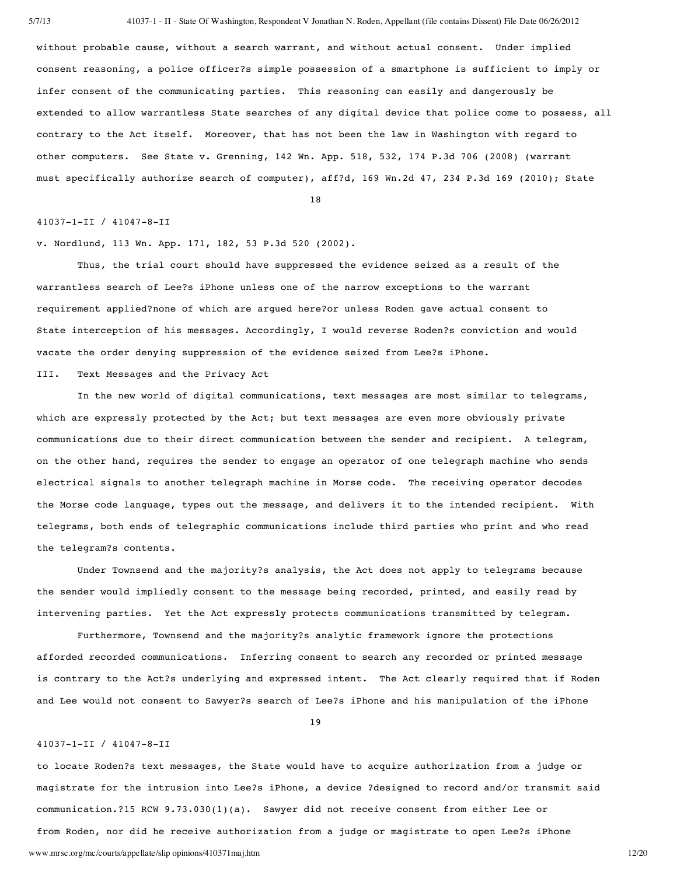without probable cause, without a search warrant, and without actual consent. Under implied consent reasoning, a police officer?s simple possession of a smartphone is sufficient to imply or infer consent of the communicating parties. This reasoning can easily and dangerously be extended to allow warrantless State searches of any digital device that police come to possess, all contrary to the Act itself. Moreover, that has not been the law in Washington with regard to other computers. See State v. Grenning, 142 Wn. App. 518, 532, 174 P.3d 706 (2008) (warrant must specifically authorize search of computer), aff?d, 169 Wn.2d 47, 234 P.3d 169 (2010); State

18

### 41037-1-II / 41047-8-II

v. Nordlund, 113 Wn. App. 171, 182, 53 P.3d 520 (2002).

Thus, the trial court should have suppressed the evidence seized as a result of the warrantless search of Lee?s iPhone unless one of the narrow exceptions to the warrant requirement applied?none of which are argued here?or unless Roden gave actual consent to State interception of his messages. Accordingly, I would reverse Roden?s conviction and would vacate the order denying suppression of the evidence seized from Lee?s iPhone.

III. Text Messages and the Privacy Act

In the new world of digital communications, text messages are most similar to telegrams, which are expressly protected by the Act; but text messages are even more obviously private communications due to their direct communication between the sender and recipient. A telegram, on the other hand, requires the sender to engage an operator of one telegraph machine who sends electrical signals to another telegraph machine in Morse code. The receiving operator decodes the Morse code language, types out the message, and delivers it to the intended recipient. With telegrams, both ends of telegraphic communications include third parties who print and who read the telegram?s contents.

Under Townsend and the majority?s analysis, the Act does not apply to telegrams because the sender would impliedly consent to the message being recorded, printed, and easily read by intervening parties. Yet the Act expressly protects communications transmitted by telegram.

Furthermore, Townsend and the majority?s analytic framework ignore the protections afforded recorded communications. Inferring consent to search any recorded or printed message is contrary to the Act?s underlying and expressed intent. The Act clearly required that if Roden and Lee would not consent to Sawyer?s search of Lee?s iPhone and his manipulation of the iPhone

19

#### 41037-1-II / 41047-8-II

www.mrsc.org/mc/courts/appellate/slip opinions/410371maj.htm 12/20 to locate Roden?s text messages, the State would have to acquire authorization from a judge or magistrate for the intrusion into Lee?s iPhone, a device ?designed to record and/or transmit said communication.?15 RCW 9.73.030(1)(a). Sawyer did not receive consent from either Lee or from Roden, nor did he receive authorization from a judge or magistrate to open Lee?s iPhone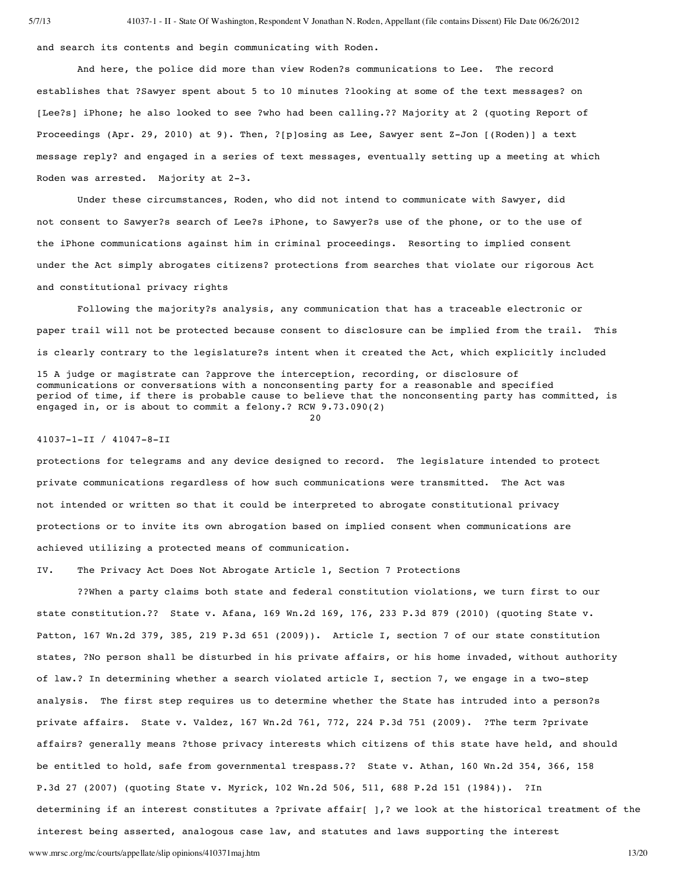and search its contents and begin communicating with Roden.

And here, the police did more than view Roden?s communications to Lee. The record establishes that ?Sawyer spent about 5 to 10 minutes ?looking at some of the text messages? on [Lee?s] iPhone; he also looked to see ?who had been calling.?? Majority at 2 (quoting Report of Proceedings (Apr. 29, 2010) at 9). Then, ?[p]osing as Lee, Sawyer sent Z-Jon [(Roden)] a text message reply? and engaged in a series of text messages, eventually setting up a meeting at which Roden was arrested. Majority at 2-3.

Under these circumstances, Roden, who did not intend to communicate with Sawyer, did not consent to Sawyer?s search of Lee?s iPhone, to Sawyer?s use of the phone, or to the use of the iPhone communications against him in criminal proceedings. Resorting to implied consent under the Act simply abrogates citizens? protections from searches that violate our rigorous Act and constitutional privacy rights

Following the majority?s analysis, any communication that has a traceable electronic or paper trail will not be protected because consent to disclosure can be implied from the trail. This is clearly contrary to the legislature?s intent when it created the Act, which explicitly included

15 A judge or magistrate can ?approve the interception, recording, or disclosure of communications or conversations with a nonconsenting party for a reasonable and specified period of time, if there is probable cause to believe that the nonconsenting party has committed, is engaged in, or is about to commit a felony.? RCW 9.73.090(2)

20

#### 41037-1-II / 41047-8-II

protections for telegrams and any device designed to record. The legislature intended to protect private communications regardless of how such communications were transmitted. The Act was not intended or written so that it could be interpreted to abrogate constitutional privacy protections or to invite its own abrogation based on implied consent when communications are achieved utilizing a protected means of communication.

IV. The Privacy Act Does Not Abrogate Article 1, Section 7 Protections

??When a party claims both state and federal constitution violations, we turn first to our state constitution.?? State v. Afana, 169 Wn.2d 169, 176, 233 P.3d 879 (2010) (quoting State v. Patton, 167 Wn.2d 379, 385, 219 P.3d 651 (2009)). Article I, section 7 of our state constitution states, ?No person shall be disturbed in his private affairs, or his home invaded, without authority of law.? In determining whether a search violated article I, section 7, we engage in a two-step analysis. The first step requires us to determine whether the State has intruded into a person?s private affairs. State v. Valdez, 167 Wn.2d 761, 772, 224 P.3d 751 (2009). ?The term ?private affairs? generally means ?those privacy interests which citizens of this state have held, and should be entitled to hold, safe from governmental trespass.?? State v. Athan, 160 Wn.2d 354, 366, 158 P.3d 27 (2007) (quoting State v. Myrick, 102 Wn.2d 506, 511, 688 P.2d 151 (1984)). ?In determining if an interest constitutes a ?private affair[ ],? we look at the historical treatment of the interest being asserted, analogous case law, and statutes and laws supporting the interest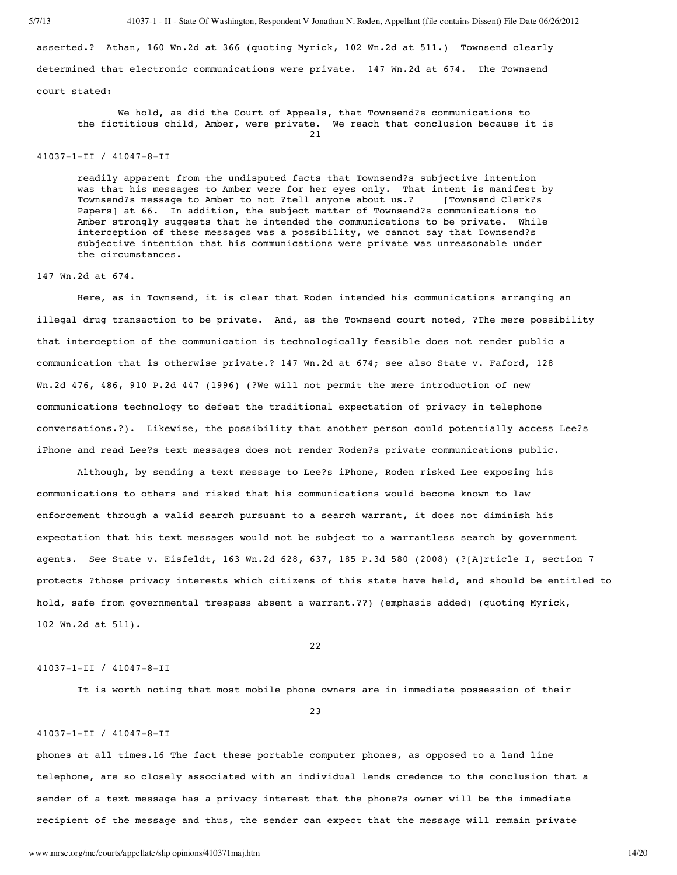asserted.? Athan, 160 Wn.2d at 366 (quoting Myrick, 102 Wn.2d at 511.) Townsend clearly determined that electronic communications were private. 147 Wn.2d at 674. The Townsend court stated:

We hold, as did the Court of Appeals, that Townsend?s communications to the fictitious child, Amber, were private. We reach that conclusion because it is 21

## 41037-1-II / 41047-8-II

readily apparent from the undisputed facts that Townsend?s subjective intention was that his messages to Amber were for her eyes only. That intent is manifest by Townsend?s message to Amber to not ?tell anyone about us.? [Townsend Clerk?s Papers] at 66. In addition, the subject matter of Townsend?s communications to Amber strongly suggests that he intended the communications to be private. While interception of these messages was a possibility, we cannot say that Townsend?s subjective intention that his communications were private was unreasonable under the circumstances.

## 147 Wn.2d at 674.

Here, as in Townsend, it is clear that Roden intended his communications arranging an illegal drug transaction to be private. And, as the Townsend court noted, ?The mere possibility that interception of the communication is technologically feasible does not render public a communication that is otherwise private.? 147 Wn.2d at 674; see also State v. Faford, 128 Wn.2d 476, 486, 910 P.2d 447 (1996) (?We will not permit the mere introduction of new communications technology to defeat the traditional expectation of privacy in telephone conversations.?). Likewise, the possibility that another person could potentially access Lee?s iPhone and read Lee?s text messages does not render Roden?s private communications public.

Although, by sending a text message to Lee?s iPhone, Roden risked Lee exposing his communications to others and risked that his communications would become known to law enforcement through a valid search pursuant to a search warrant, it does not diminish his expectation that his text messages would not be subject to a warrantless search by government agents. See State v. Eisfeldt, 163 Wn.2d 628, 637, 185 P.3d 580 (2008) (?[A]rticle I, section 7 protects ?those privacy interests which citizens of this state have held, and should be entitled to hold, safe from governmental trespass absent a warrant.??) (emphasis added) (quoting Myrick, 102 Wn.2d at 511).

 $22$ 

#### 41037-1-II / 41047-8-II

It is worth noting that most mobile phone owners are in immediate possession of their

23

#### 41037-1-II / 41047-8-II

phones at all times.16 The fact these portable computer phones, as opposed to a land line telephone, are so closely associated with an individual lends credence to the conclusion that a sender of a text message has a privacy interest that the phone?s owner will be the immediate recipient of the message and thus, the sender can expect that the message will remain private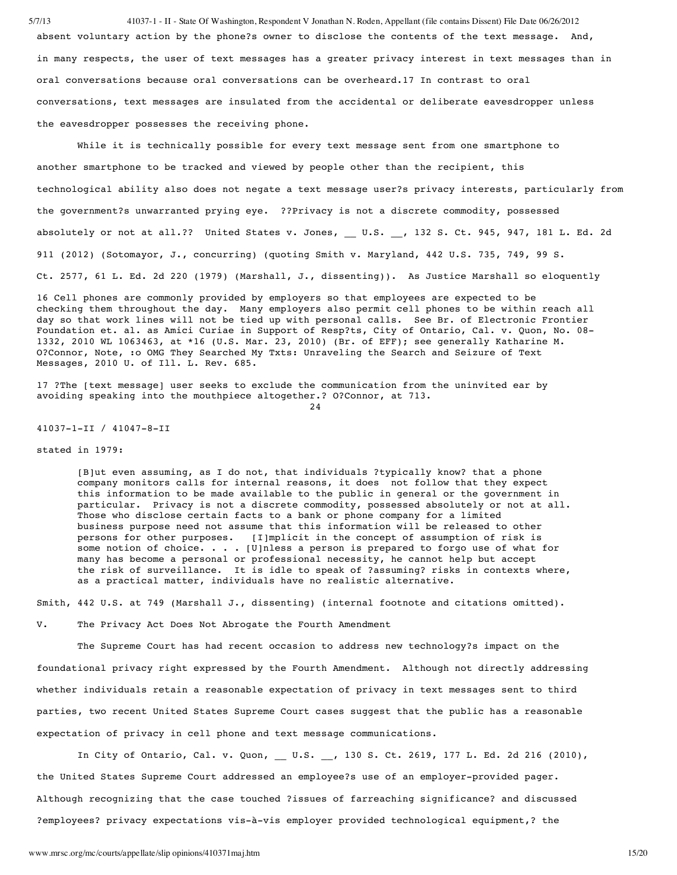5/7/13 41037-1 - II - State Of Washington, Respondent V Jonathan N. Roden, Appellant (file contains Dissent) File Date 06/26/2012 absent voluntary action by the phone?s owner to disclose the contents of the text message. And, in many respects, the user of text messages has a greater privacy interest in text messages than in oral conversations because oral conversations can be overheard.17 In contrast to oral conversations, text messages are insulated from the accidental or deliberate eavesdropper unless the eavesdropper possesses the receiving phone.

While it is technically possible for every text message sent from one smartphone to another smartphone to be tracked and viewed by people other than the recipient, this technological ability also does not negate a text message user?s privacy interests, particularly from the government?s unwarranted prying eye. ??Privacy is not a discrete commodity, possessed absolutely or not at all.?? United States v. Jones, U.S. , 132 S. Ct. 945, 947, 181 L. Ed. 2d 911 (2012) (Sotomayor, J., concurring) (quoting Smith v. Maryland, 442 U.S. 735, 749, 99 S. Ct. 2577, 61 L. Ed. 2d 220 (1979) (Marshall, J., dissenting)). As Justice Marshall so eloquently

16 Cell phones are commonly provided by employers so that employees are expected to be checking them throughout the day. Many employers also permit cell phones to be within reach all day so that work lines will not be tied up with personal calls. See Br. of Electronic Frontier Foundation et. al. as Amici Curiae in Support of Resp?ts, City of Ontario, Cal. v. Quon, No. 08- 1332, 2010 WL 1063463, at \*16 (U.S. Mar. 23, 2010) (Br. of EFF); see generally Katharine M. O?Connor, Note, :o OMG They Searched My Txts: Unraveling the Search and Seizure of Text Messages, 2010 U. of Ill. L. Rev. 685.

17 ?The [text message] user seeks to exclude the communication from the uninvited ear by avoiding speaking into the mouthpiece altogether.? O?Connor, at 713. 24

41037-1-II / 41047-8-II

### stated in 1979:

[B]ut even assuming, as I do not, that individuals ?typically know? that a phone company monitors calls for internal reasons, it does not follow that they expect this information to be made available to the public in general or the government in particular. Privacy is not a discrete commodity, possessed absolutely or not at all. Those who disclose certain facts to a bank or phone company for a limited business purpose need not assume that this information will be released to other persons for other purposes. [I]mplicit in the concept of assumption of risk is some notion of choice. . . . [U]nless a person is prepared to forgo use of what for many has become a personal or professional necessity, he cannot help but accept the risk of surveillance. It is idle to speak of ?assuming? risks in contexts where, as a practical matter, individuals have no realistic alternative.

Smith, 442 U.S. at 749 (Marshall J., dissenting) (internal footnote and citations omitted).

V. The Privacy Act Does Not Abrogate the Fourth Amendment

The Supreme Court has had recent occasion to address new technology?s impact on the foundational privacy right expressed by the Fourth Amendment. Although not directly addressing whether individuals retain a reasonable expectation of privacy in text messages sent to third parties, two recent United States Supreme Court cases suggest that the public has a reasonable expectation of privacy in cell phone and text message communications.

In City of Ontario, Cal. v. Quon, U.S. , 130 S. Ct. 2619, 177 L. Ed. 2d 216 (2010), the United States Supreme Court addressed an employee?s use of an employer-provided pager. Although recognizing that the case touched ?issues of farreaching significance? and discussed ?employees? privacy expectations vis-à-vis employer provided technological equipment,? the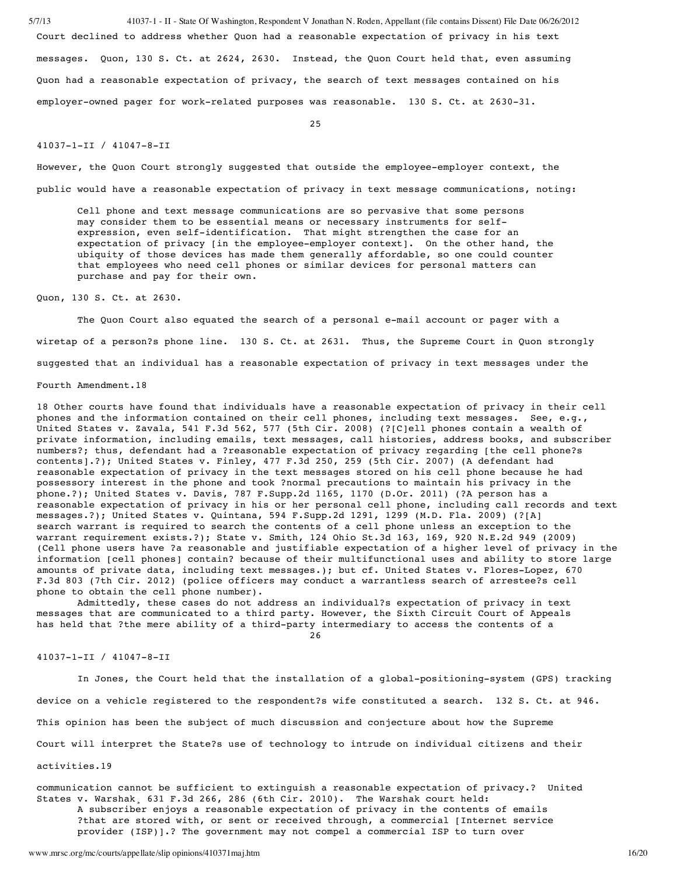5/7/13 41037-1 - II - State Of Washington, Respondent V Jonathan N. Roden, Appellant (file contains Dissent) File Date 06/26/2012

Court declined to address whether Quon had a reasonable expectation of privacy in his text messages. Quon, 130 S. Ct. at 2624, 2630. Instead, the Quon Court held that, even assuming Quon had a reasonable expectation of privacy, the search of text messages contained on his employer-owned pager for work-related purposes was reasonable. 130 S. Ct. at 2630-31.

25

### 41037-1-II / 41047-8-II

However, the Quon Court strongly suggested that outside the employee-employer context, the public would have a reasonable expectation of privacy in text message communications, noting:

Cell phone and text message communications are so pervasive that some persons may consider them to be essential means or necessary instruments for selfexpression, even self-identification. That might strengthen the case for an expectation of privacy [in the employee-employer context]. On the other hand, the ubiquity of those devices has made them generally affordable, so one could counter that employees who need cell phones or similar devices for personal matters can purchase and pay for their own.

Quon, 130 S. Ct. at 2630.

The Quon Court also equated the search of a personal e-mail account or pager with a wiretap of a person?s phone line. 130 S. Ct. at 2631. Thus, the Supreme Court in Quon strongly suggested that an individual has a reasonable expectation of privacy in text messages under the Fourth Amendment.18

18 Other courts have found that individuals have a reasonable expectation of privacy in their cell phones and the information contained on their cell phones, including text messages. See, e.g., United States v. Zavala, 541 F.3d 562, 577 (5th Cir. 2008) (?[C]ell phones contain a wealth of private information, including emails, text messages, call histories, address books, and subscriber numbers?; thus, defendant had a ?reasonable expectation of privacy regarding [the cell phone?s contents].?); United States v. Finley, 477 F.3d 250, 259 (5th Cir. 2007) (A defendant had reasonable expectation of privacy in the text messages stored on his cell phone because he had possessory interest in the phone and took ?normal precautions to maintain his privacy in the phone.?); United States v. Davis, 787 F.Supp.2d 1165, 1170 (D.Or. 2011) (?A person has a reasonable expectation of privacy in his or her personal cell phone, including call records and text messages.?); United States v. Quintana, 594 F.Supp.2d 1291, 1299 (M.D. Fla. 2009) (?[A] search warrant is required to search the contents of a cell phone unless an exception to the warrant requirement exists.?); State v. Smith, 124 Ohio St.3d 163, 169, 920 N.E.2d 949 (2009) (Cell phone users have ?a reasonable and justifiable expectation of a higher level of privacy in the information [cell phones] contain? because of their multifunctional uses and ability to store large amounts of private data, including text messages.); but cf. United States v. Flores-Lopez, 670 F.3d 803 (7th Cir. 2012) (police officers may conduct a warrantless search of arrestee?s cell phone to obtain the cell phone number).

Admittedly, these cases do not address an individual?s expectation of privacy in text messages that are communicated to a third party. However, the Sixth Circuit Court of Appeals has held that ?the mere ability of a third-party intermediary to access the contents of a  $26$ 

41037-1-II / 41047-8-II

In Jones, the Court held that the installation of a global-positioning-system (GPS) tracking device on a vehicle registered to the respondent?s wife constituted a search. 132 S. Ct. at 946. This opinion has been the subject of much discussion and conjecture about how the Supreme Court will interpret the State?s use of technology to intrude on individual citizens and their

activities.19

communication cannot be sufficient to extinguish a reasonable expectation of privacy.? United States v. Warshak 631 F.3d 266, 286 (6th Cir. 2010). The Warshak court held: A subscriber enjoys a reasonable expectation of privacy in the contents of emails ?that are stored with, or sent or received through, a commercial [Internet service provider (ISP)].? The government may not compel a commercial ISP to turn over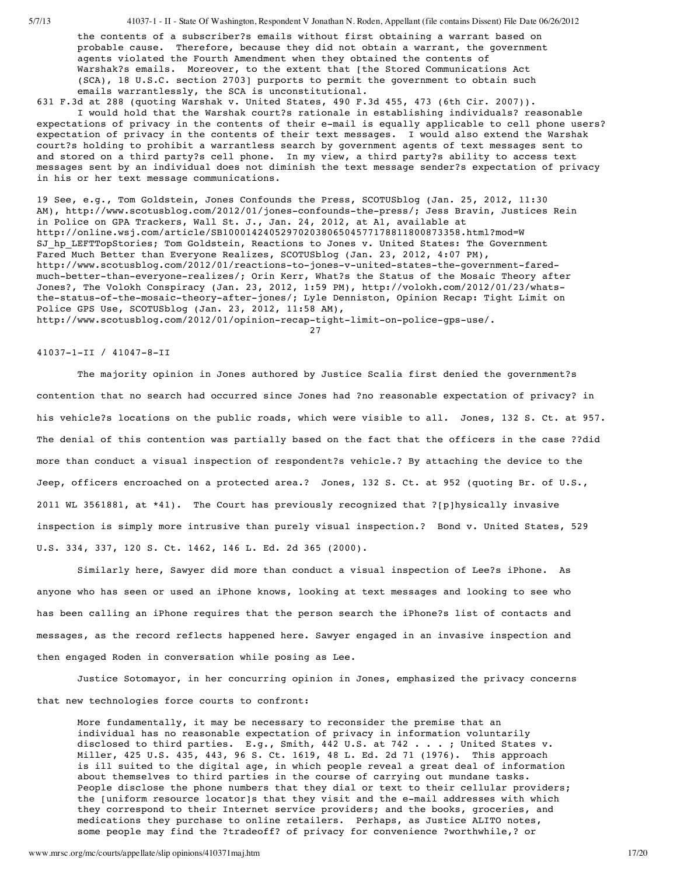the contents of a subscriber?s emails without first obtaining a warrant based on probable cause. Therefore, because they did not obtain a warrant, the government agents violated the Fourth Amendment when they obtained the contents of Warshak?s emails. Moreover, to the extent that [the Stored Communications Act (SCA), 18 U.S.C. section 2703] purports to permit the government to obtain such emails warrantlessly, the SCA is unconstitutional.

631 F.3d at 288 (quoting Warshak v. United States, 490 F.3d 455, 473 (6th Cir. 2007)). I would hold that the Warshak court?s rationale in establishing individuals? reasonable

expectations of privacy in the contents of their e-mail is equally applicable to cell phone users? expectation of privacy in the contents of their text messages. I would also extend the Warshak court?s holding to prohibit a warrantless search by government agents of text messages sent to and stored on a third party?s cell phone. In my view, a third party?s ability to access text messages sent by an individual does not diminish the text message sender?s expectation of privacy in his or her text message communications.

19 See, e.g., Tom Goldstein, Jones Confounds the Press, SCOTUSblog (Jan. 25, 2012, 11:30 AM), http://www.scotusblog.com/2012/01/jones-confounds-the-press/; Jess Bravin, Justices Rein in Police on GPA Trackers, Wall St. J., Jan. 24, 2012, at A1, available at http://online.wsj.com/article/SB10001424052970203806504577178811800873358.html?mod=W SJ\_hp\_LEFTTopStories; Tom Goldstein, Reactions to Jones v. United States: The Government Fared Much Better than Everyone Realizes, SCOTUSblog (Jan. 23, 2012, 4:07 PM), http://www.scotusblog.com/2012/01/reactions-to-jones-v-united-states-the-government-faredmuch-better-than-everyone-realizes/; Orin Kerr, What?s the Status of the Mosaic Theory after Jones?, The Volokh Conspiracy (Jan. 23, 2012, 1:59 PM), http://volokh.com/2012/01/23/whatsthe-status-of-the-mosaic-theory-after-jones/; Lyle Denniston, Opinion Recap: Tight Limit on Police GPS Use, SCOTUSblog (Jan. 23, 2012, 11:58 AM),

http://www.scotusblog.com/2012/01/opinion-recap-tight-limit-on-police-gps-use/.

27

#### 41037-1-II / 41047-8-II

The majority opinion in Jones authored by Justice Scalia first denied the government?s contention that no search had occurred since Jones had ?no reasonable expectation of privacy? in his vehicle?s locations on the public roads, which were visible to all. Jones, 132 S. Ct. at 957. The denial of this contention was partially based on the fact that the officers in the case ??did more than conduct a visual inspection of respondent?s vehicle.? By attaching the device to the Jeep, officers encroached on a protected area.? Jones, 132 S. Ct. at 952 (quoting Br. of U.S., 2011 WL 3561881, at \*41). The Court has previously recognized that ?[p]hysically invasive inspection is simply more intrusive than purely visual inspection.? Bond v. United States, 529 U.S. 334, 337, 120 S. Ct. 1462, 146 L. Ed. 2d 365 (2000).

Similarly here, Sawyer did more than conduct a visual inspection of Lee?s iPhone. As anyone who has seen or used an iPhone knows, looking at text messages and looking to see who has been calling an iPhone requires that the person search the iPhone?s list of contacts and messages, as the record reflects happened here. Sawyer engaged in an invasive inspection and then engaged Roden in conversation while posing as Lee.

Justice Sotomayor, in her concurring opinion in Jones, emphasized the privacy concerns that new technologies force courts to confront:

More fundamentally, it may be necessary to reconsider the premise that an individual has no reasonable expectation of privacy in information voluntarily disclosed to third parties. E.g., Smith, 442 U.S. at 742 . . . ; United States v. Miller, 425 U.S. 435, 443, 96 S. Ct. 1619, 48 L. Ed. 2d 71 (1976). This approach is ill suited to the digital age, in which people reveal a great deal of information about themselves to third parties in the course of carrying out mundane tasks. People disclose the phone numbers that they dial or text to their cellular providers; the [uniform resource locator]s that they visit and the e-mail addresses with which they correspond to their Internet service providers; and the books, groceries, and medications they purchase to online retailers. Perhaps, as Justice ALITO notes, some people may find the ?tradeoff? of privacy for convenience ?worthwhile,? or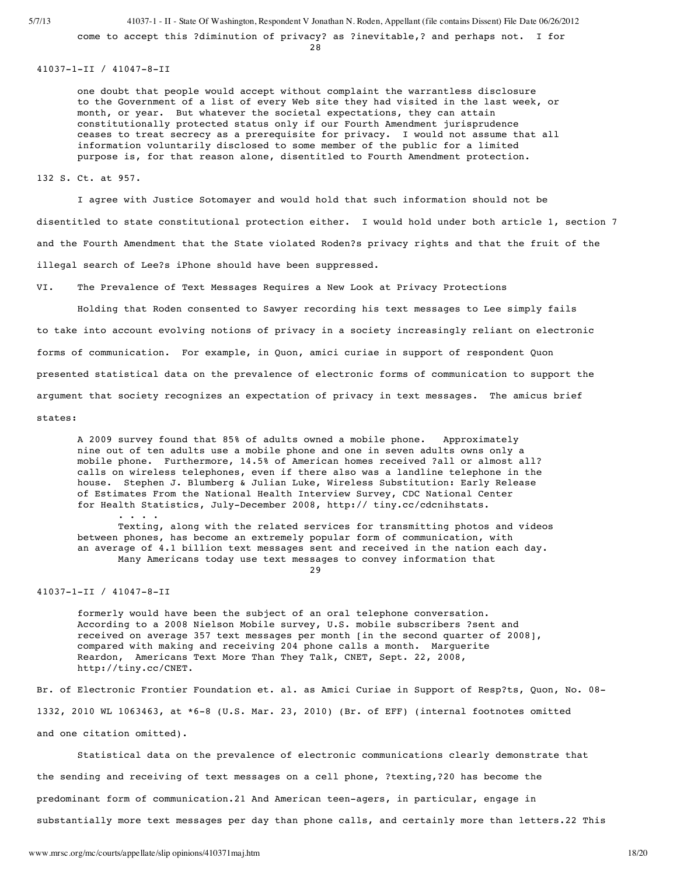come to accept this ?diminution of privacy? as ?inevitable,? and perhaps not. I for

28

41037-1-II / 41047-8-II

one doubt that people would accept without complaint the warrantless disclosure to the Government of a list of every Web site they had visited in the last week, or month, or year. But whatever the societal expectations, they can attain constitutionally protected status only if our Fourth Amendment jurisprudence ceases to treat secrecy as a prerequisite for privacy. I would not assume that all information voluntarily disclosed to some member of the public for a limited purpose is, for that reason alone, disentitled to Fourth Amendment protection.

132 S. Ct. at 957.

I agree with Justice Sotomayer and would hold that such information should not be disentitled to state constitutional protection either. I would hold under both article 1, section 7 and the Fourth Amendment that the State violated Roden?s privacy rights and that the fruit of the illegal search of Lee?s iPhone should have been suppressed.

VI. The Prevalence of Text Messages Requires a New Look at Privacy Protections

Holding that Roden consented to Sawyer recording his text messages to Lee simply fails to take into account evolving notions of privacy in a society increasingly reliant on electronic forms of communication. For example, in Quon, amici curiae in support of respondent Quon presented statistical data on the prevalence of electronic forms of communication to support the argument that society recognizes an expectation of privacy in text messages. The amicus brief

states:

A 2009 survey found that 85% of adults owned a mobile phone. Approximately nine out of ten adults use a mobile phone and one in seven adults owns only a mobile phone. Furthermore, 14.5% of American homes received ?all or almost all? calls on wireless telephones, even if there also was a landline telephone in the house. Stephen J. Blumberg & Julian Luke, Wireless Substitution: Early Release of Estimates From the National Health Interview Survey, CDC National Center for Health Statistics, July-December 2008, http:// tiny.cc/cdcnihstats.

Texting, along with the related services for transmitting photos and videos between phones, has become an extremely popular form of communication, with an average of 4.1 billion text messages sent and received in the nation each day. Many Americans today use text messages to convey information that 29

41037-1-II / 41047-8-II

. . . .

formerly would have been the subject of an oral telephone conversation. According to a 2008 Nielson Mobile survey, U.S. mobile subscribers ?sent and received on average 357 text messages per month [in the second quarter of 2008], compared with making and receiving 204 phone calls a month. Marguerite Reardon, Americans Text More Than They Talk, CNET, Sept. 22, 2008, http://tiny.cc/CNET.

Br. of Electronic Frontier Foundation et. al. as Amici Curiae in Support of Resp?ts, Quon, No. 08- 1332, 2010 WL 1063463, at \*6-8 (U.S. Mar. 23, 2010) (Br. of EFF) (internal footnotes omitted and one citation omitted).

Statistical data on the prevalence of electronic communications clearly demonstrate that the sending and receiving of text messages on a cell phone, ?texting,?20 has become the predominant form of communication.21 And American teen-agers, in particular, engage in substantially more text messages per day than phone calls, and certainly more than letters.22 This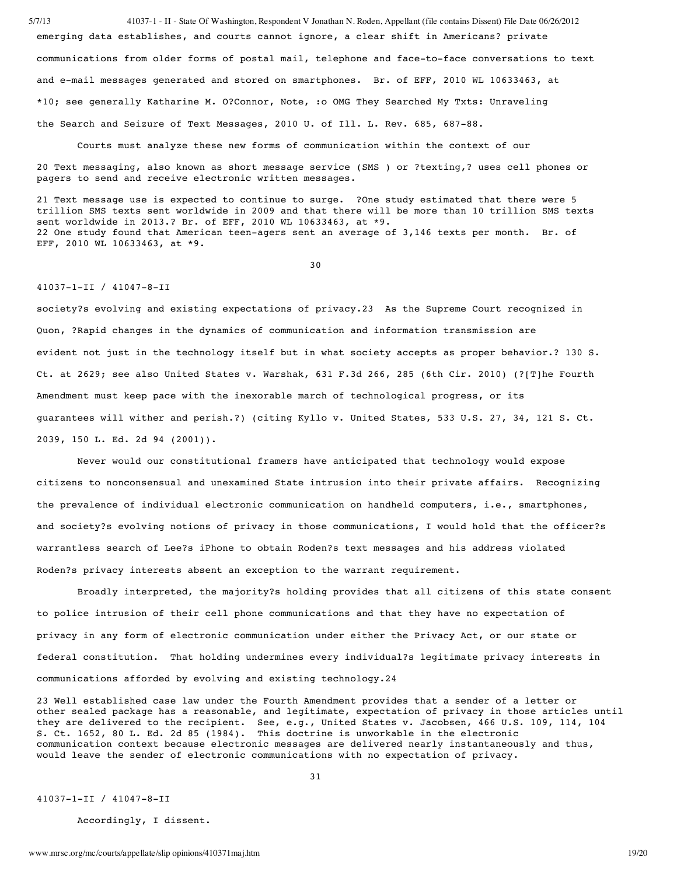5/7/13 41037-1 - II - State Of Washington, Respondent V Jonathan N. Roden, Appellant (file contains Dissent) File Date 06/26/2012 emerging data establishes, and courts cannot ignore, a clear shift in Americans? private communications from older forms of postal mail, telephone and face-to-face conversations to text and e-mail messages generated and stored on smartphones. Br. of EFF, 2010 WL 10633463, at \*10; see generally Katharine M. O?Connor, Note, :o OMG They Searched My Txts: Unraveling the Search and Seizure of Text Messages, 2010 U. of Ill. L. Rev. 685, 687-88.

Courts must analyze these new forms of communication within the context of our

20 Text messaging, also known as short message service (SMS ) or ?texting,? uses cell phones or pagers to send and receive electronic written messages.

21 Text message use is expected to continue to surge. ?One study estimated that there were 5 trillion SMS texts sent worldwide in 2009 and that there will be more than 10 trillion SMS texts sent worldwide in 2013.? Br. of EFF, 2010 WL 10633463, at \*9. 22 One study found that American teen-agers sent an average of 3,146 texts per month. Br. of EFF, 2010 WL 10633463, at \*9.

30

# 41037-1-II / 41047-8-II

society?s evolving and existing expectations of privacy.23 As the Supreme Court recognized in Quon, ?Rapid changes in the dynamics of communication and information transmission are evident not just in the technology itself but in what society accepts as proper behavior.? 130 S. Ct. at 2629; see also United States v. Warshak, 631 F.3d 266, 285 (6th Cir. 2010) (?[T]he Fourth Amendment must keep pace with the inexorable march of technological progress, or its guarantees will wither and perish.?) (citing Kyllo v. United States, 533 U.S. 27, 34, 121 S. Ct. 2039, 150 L. Ed. 2d 94 (2001)).

Never would our constitutional framers have anticipated that technology would expose citizens to nonconsensual and unexamined State intrusion into their private affairs. Recognizing the prevalence of individual electronic communication on handheld computers, i.e., smartphones, and society?s evolving notions of privacy in those communications, I would hold that the officer?s warrantless search of Lee?s iPhone to obtain Roden?s text messages and his address violated Roden?s privacy interests absent an exception to the warrant requirement.

Broadly interpreted, the majority?s holding provides that all citizens of this state consent to police intrusion of their cell phone communications and that they have no expectation of privacy in any form of electronic communication under either the Privacy Act, or our state or federal constitution. That holding undermines every individual?s legitimate privacy interests in communications afforded by evolving and existing technology.24

23 Well established case law under the Fourth Amendment provides that a sender of a letter or other sealed package has a reasonable, and legitimate, expectation of privacy in those articles until they are delivered to the recipient. See, e.g., United States v. Jacobsen, 466 U.S. 109, 114, 104 S. Ct. 1652, 80 L. Ed. 2d 85 (1984). This doctrine is unworkable in the electronic communication context because electronic messages are delivered nearly instantaneously and thus, would leave the sender of electronic communications with no expectation of privacy.

31

41037-1-II / 41047-8-II

Accordingly, I dissent.